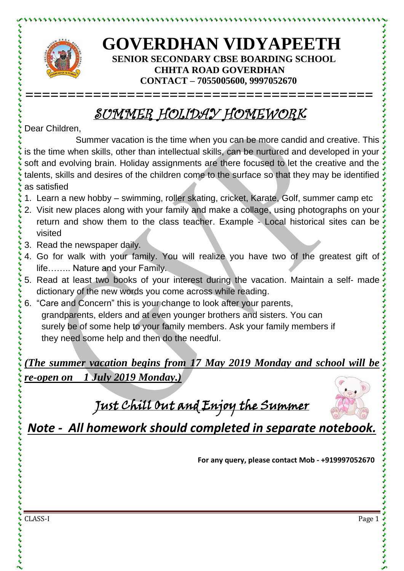

とけけいけいけいけい

## **GOVERDHAN VIDYAPEETH SENIOR SECONDARY CBSE BOARDING SCHOOL CHHTA ROAD GOVERDHAN CONTACT – 7055005600, 9997052670**

## SUMMER HOLIDAY HOMEWORK

**=========================================**

Dear Children,

Summer vacation is the time when you can be more candid and creative. This is the time when skills, other than intellectual skills, can be nurtured and developed in your soft and evolving brain. Holiday assignments are there focused to let the creative and the talents, skills and desires of the children come to the surface so that they may be identified as satisfied

- 1. Learn a new hobby swimming, roller skating, cricket, Karate, Golf, summer camp etc
- 2. Visit new places along with your family and make a collage, using photographs on your return and show them to the class teacher. Example - Local historical sites can be visited
- 3. Read the newspaper daily.
- 4. Go for walk with your family. You will realize you have two of the greatest gift of life…….. Nature and your Family.
- 5. Read at least two books of your interest during the vacation. Maintain a self- made dictionary of the new words you come across while reading.
- 6. "Care and Concern" this is your change to look after your parents, grandparents, elders and at even younger brothers and sisters. You can surely be of some help to your family members. Ask your family members if they need some help and then do the needful.

*(The summer vacation begins from 17 May 2019 Monday and school will be re-open on 1 July 2019 Monday.)*

Just Chill Out and Enjoy the Summer



*Note - All homework should completed in separate notebook.*

**For any query, please contact Mob - +919997052670**

CLASS-I Page 1